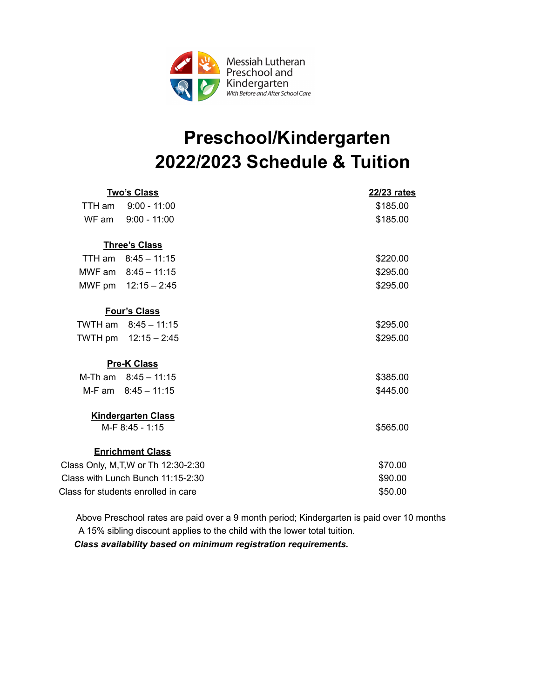

## **Preschool/Kindergarten 2022/2023 Schedule & Tuition**

|                                              | <u>Two's Class</u>      | 22/23 rates |
|----------------------------------------------|-------------------------|-------------|
| TTH am                                       | $9:00 - 11:00$          | \$185.00    |
| WF am                                        | $9:00 - 11:00$          | \$185.00    |
|                                              |                         |             |
|                                              | <b>Three's Class</b>    |             |
|                                              | TTH am $8:45 - 11:15$   | \$220.00    |
|                                              | MWF am 8:45 - 11:15     | \$295.00    |
|                                              | MWF pm 12:15 - 2:45     | \$295.00    |
|                                              |                         |             |
|                                              | <b>Four's Class</b>     |             |
|                                              | TWTH am $8:45 - 11:15$  | \$295.00    |
|                                              | TWTH pm 12:15 - 2:45    | \$295.00    |
|                                              | <b>Pre-K Class</b>      |             |
|                                              | M-Th am $8:45 - 11:15$  | \$385.00    |
|                                              | M-F am 8:45 - 11:15     | \$445.00    |
|                                              |                         |             |
| <b>Kindergarten Class</b><br>M-F 8:45 - 1:15 |                         | \$565.00    |
|                                              |                         |             |
|                                              | <b>Enrichment Class</b> |             |
| Class Only, M, T, W or Th 12:30-2:30         |                         | \$70.00     |
| Class with Lunch Bunch 11:15-2:30            |                         | \$90.00     |
| Class for students enrolled in care          |                         | \$50.00     |

 Above Preschool rates are paid over a 9 month period; Kindergarten is paid over 10 months A 15% sibling discount applies to the child with the lower total tuition.

 *Class availability based on minimum registration requirements.*